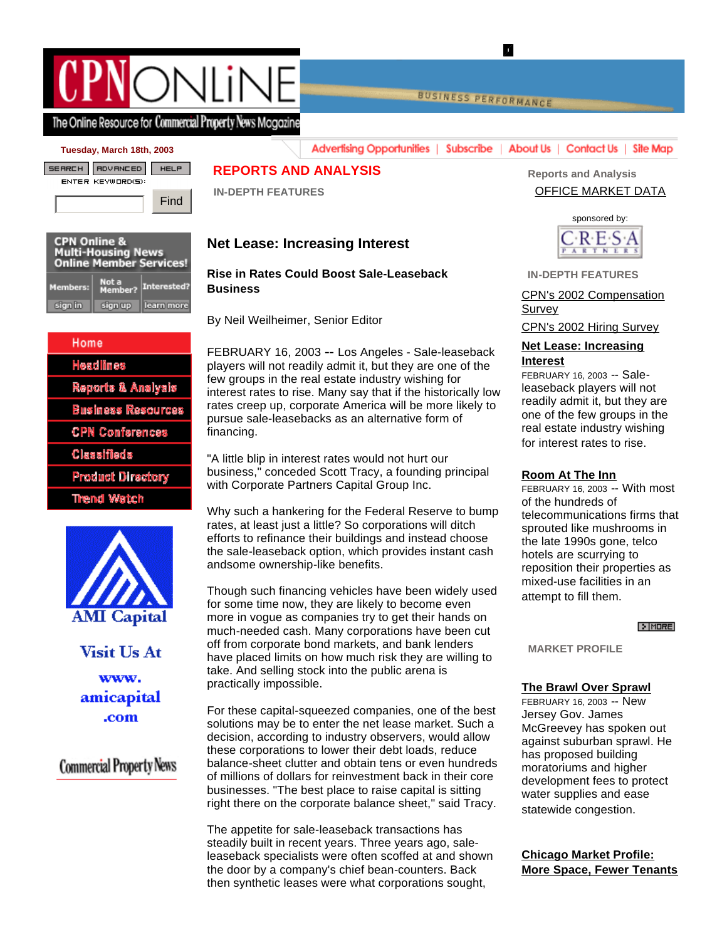# ONIIN

**BUSINESS PERFORMANCE** 

K

## The Online Resource for Commercial Property News Mogazine

#### **Tuesday, March 18th, 2003**



| <b>CPN Online &amp;</b><br><b>Multi-Housing News</b><br><b>Online Member Services!</b> |                  |             |
|----------------------------------------------------------------------------------------|------------------|-------------|
| <b>Members:</b>                                                                        | Not a<br>Member? | Interested? |
| sign in                                                                                | sign up          | learn more  |

# Home **Headlines** Reports & Analysis **Business Resources CPN Conferences** Classifieds **Product Directory** Thend Watch



Visit Us At www. amicapital .com

## **Commercial Property News**

## **REPORTS AND ANALYSIS**

 **IN-DEPTH FEATURES**

## **Net Lease: Increasing Interest**

**Rise in Rates Could Boost Sale-Leaseback Business**

By Neil Weilheimer, Senior Editor

FEBRUARY 16, 2003 -- Los Angeles - Sale-leaseback players will not readily admit it, but they are one of the few groups in the real estate industry wishing for interest rates to rise. Many say that if the historically low rates creep up, corporate America will be more likely to pursue sale-leasebacks as an alternative form of financing.

**Advertising Opportunities** |

"A little blip in interest rates would not hurt our business," conceded Scott Tracy, a founding principal with Corporate Partners Capital Group Inc.

Why such a hankering for the Federal Reserve to bump rates, at least just a little? So corporations will ditch efforts to refinance their buildings and instead choose the sale-leaseback option, which provides instant cash andsome ownership-like benefits.

Though such financing vehicles have been widely used for some time now, they are likely to become even more in vogue as companies try to get their hands on much-needed cash. Many corporations have been cut off from corporate bond markets, and bank lenders have placed limits on how much risk they are willing to take. And selling stock into the public arena is practically impossible.

For these capital-squeezed companies, one of the best solutions may be to enter the net lease market. Such a decision, according to industry observers, would allow these corporations to lower their debt loads, reduce balance-sheet clutter and obtain tens or even hundreds of millions of dollars for reinvestment back in their core businesses. "The best place to raise capital is sitting right there on the corporate balance sheet," said Tracy.

The appetite for sale-leaseback transactions has steadily built in recent years. Three years ago, saleleaseback specialists were often scoffed at and shown the door by a company's chief bean-counters. Back then synthetic leases were what corporations sought,

 **Reports and Analysis** OFFICE MARKET DATA

Subscribe | About Us | Contact Us | Site Map



 **IN-DEPTH FEATURES**

### CPN's 2002 Compensation Survey

CPN's 2002 Hiring Survey

#### **Net Lease: Increasing Interest**

FEBRUARY 16, 2003 -- Saleleaseback players will not readily admit it, but they are one of the few groups in the real estate industry wishing for interest rates to rise.

#### **Room At The Inn**

FEBRUARY 16, 2003 -- With most of the hundreds of telecommunications firms that sprouted like mushrooms in the late 1990s gone, telco hotels are scurrying to reposition their properties as mixed-use facilities in an attempt to fill them.

#### $>$  MORE

 **MARKET PROFILE**

## **The Brawl Over Sprawl**

FEBRUARY 16, 2003 -- New Jersey Gov. James McGreevey has spoken out against suburban sprawl. He has proposed building moratoriums and higher development fees to protect water supplies and ease statewide congestion.

**Chicago Market Profile: More Space, Fewer Tenants**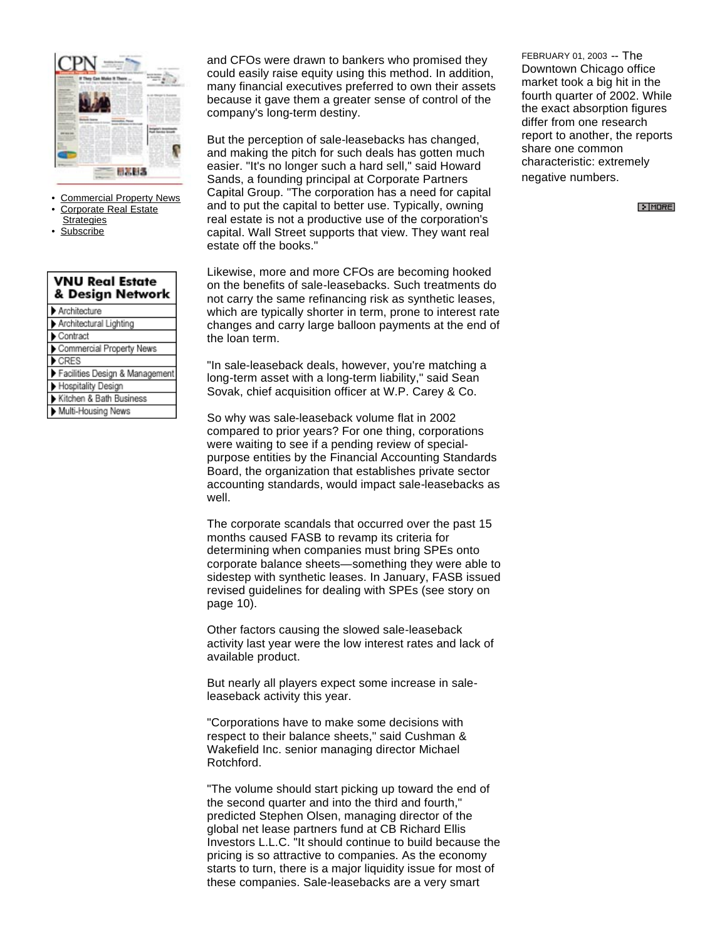

- Commercial Property News
- Corporate Real Estate **Strategies**
- **Subscribe**

| <b>VNU Real Estate</b><br>& Design Network |  |  |
|--------------------------------------------|--|--|
| Architecture                               |  |  |
| Architectural Lighting                     |  |  |
| Contract                                   |  |  |
| Commercial Property News                   |  |  |
| CRES                                       |  |  |
| Facilities Design & Management             |  |  |
| Hospitality Design                         |  |  |
| Kitchen & Bath Business                    |  |  |
| Multi-Housing News                         |  |  |

and CFOs were drawn to bankers who promised they could easily raise equity using this method. In addition, many financial executives preferred to own their assets because it gave them a greater sense of control of the company's long-term destiny.

But the perception of sale-leasebacks has changed, and making the pitch for such deals has gotten much easier. "It's no longer such a hard sell," said Howard Sands, a founding principal at Corporate Partners Capital Group. "The corporation has a need for capital and to put the capital to better use. Typically, owning real estate is not a productive use of the corporation's capital. Wall Street supports that view. They want real estate off the books."

Likewise, more and more CFOs are becoming hooked on the benefits of sale-leasebacks. Such treatments do not carry the same refinancing risk as synthetic leases, which are typically shorter in term, prone to interest rate changes and carry large balloon payments at the end of the loan term.

"In sale-leaseback deals, however, you're matching a long-term asset with a long-term liability," said Sean Sovak, chief acquisition officer at W.P. Carey & Co.

So why was sale-leaseback volume flat in 2002 compared to prior years? For one thing, corporations were waiting to see if a pending review of specialpurpose entities by the Financial Accounting Standards Board, the organization that establishes private sector accounting standards, would impact sale-leasebacks as well.

The corporate scandals that occurred over the past 15 months caused FASB to revamp its criteria for determining when companies must bring SPEs onto corporate balance sheets—something they were able to sidestep with synthetic leases. In January, FASB issued revised guidelines for dealing with SPEs (see story on page 10).

Other factors causing the slowed sale-leaseback activity last year were the low interest rates and lack of available product.

But nearly all players expect some increase in saleleaseback activity this year.

"Corporations have to make some decisions with respect to their balance sheets," said Cushman & Wakefield Inc. senior managing director Michael Rotchford.

"The volume should start picking up toward the end of the second quarter and into the third and fourth," predicted Stephen Olsen, managing director of the global net lease partners fund at CB Richard Ellis Investors L.L.C. "It should continue to build because the pricing is so attractive to companies. As the economy starts to turn, there is a major liquidity issue for most of these companies. Sale-leasebacks are a very smart

FEBRUARY 01, 2003 -- The Downtown Chicago office market took a big hit in the fourth quarter of 2002. While the exact absorption figures differ from one research report to another, the reports share one common characteristic: extremely negative numbers.

 $\triangleright$  MORE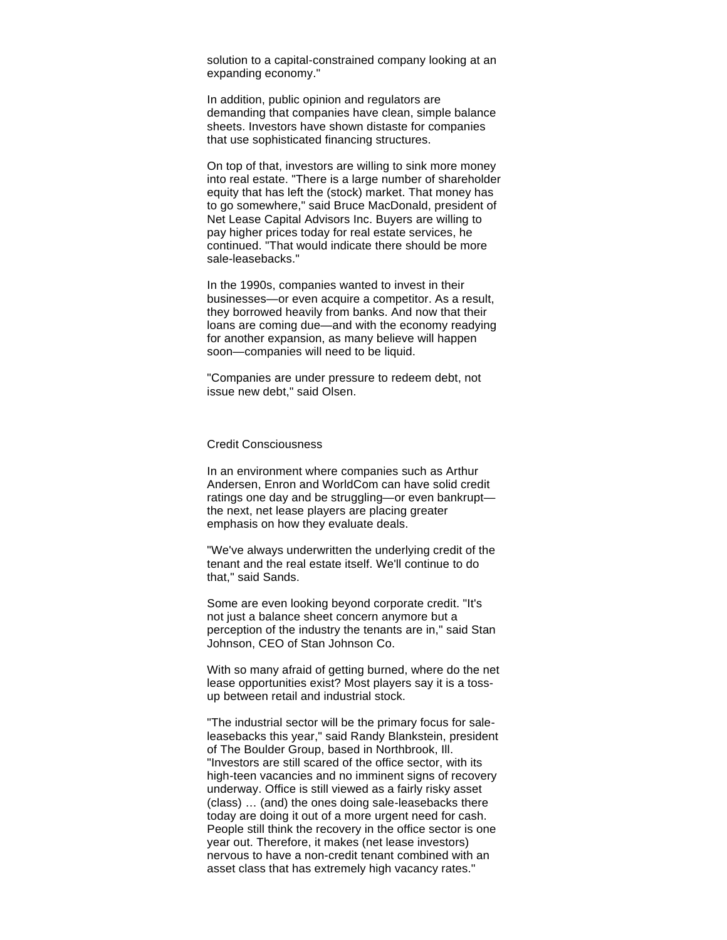solution to a capital-constrained company looking at an expanding economy."

In addition, public opinion and regulators are demanding that companies have clean, simple balance sheets. Investors have shown distaste for companies that use sophisticated financing structures.

On top of that, investors are willing to sink more money into real estate. "There is a large number of shareholder equity that has left the (stock) market. That money has to go somewhere," said Bruce MacDonald, president of Net Lease Capital Advisors Inc. Buyers are willing to pay higher prices today for real estate services, he continued. "That would indicate there should be more sale-leasebacks."

In the 1990s, companies wanted to invest in their businesses—or even acquire a competitor. As a result, they borrowed heavily from banks. And now that their loans are coming due—and with the economy readying for another expansion, as many believe will happen soon—companies will need to be liquid.

"Companies are under pressure to redeem debt, not issue new debt," said Olsen.

#### Credit Consciousness

In an environment where companies such as Arthur Andersen, Enron and WorldCom can have solid credit ratings one day and be struggling—or even bankrupt the next, net lease players are placing greater emphasis on how they evaluate deals.

"We've always underwritten the underlying credit of the tenant and the real estate itself. We'll continue to do that," said Sands.

Some are even looking beyond corporate credit. "It's not just a balance sheet concern anymore but a perception of the industry the tenants are in," said Stan Johnson, CEO of Stan Johnson Co.

With so many afraid of getting burned, where do the net lease opportunities exist? Most players say it is a tossup between retail and industrial stock.

"The industrial sector will be the primary focus for saleleasebacks this year," said Randy Blankstein, president of The Boulder Group, based in Northbrook, Ill. "Investors are still scared of the office sector, with its high-teen vacancies and no imminent signs of recovery underway. Office is still viewed as a fairly risky asset (class) … (and) the ones doing sale-leasebacks there today are doing it out of a more urgent need for cash. People still think the recovery in the office sector is one year out. Therefore, it makes (net lease investors) nervous to have a non-credit tenant combined with an asset class that has extremely high vacancy rates."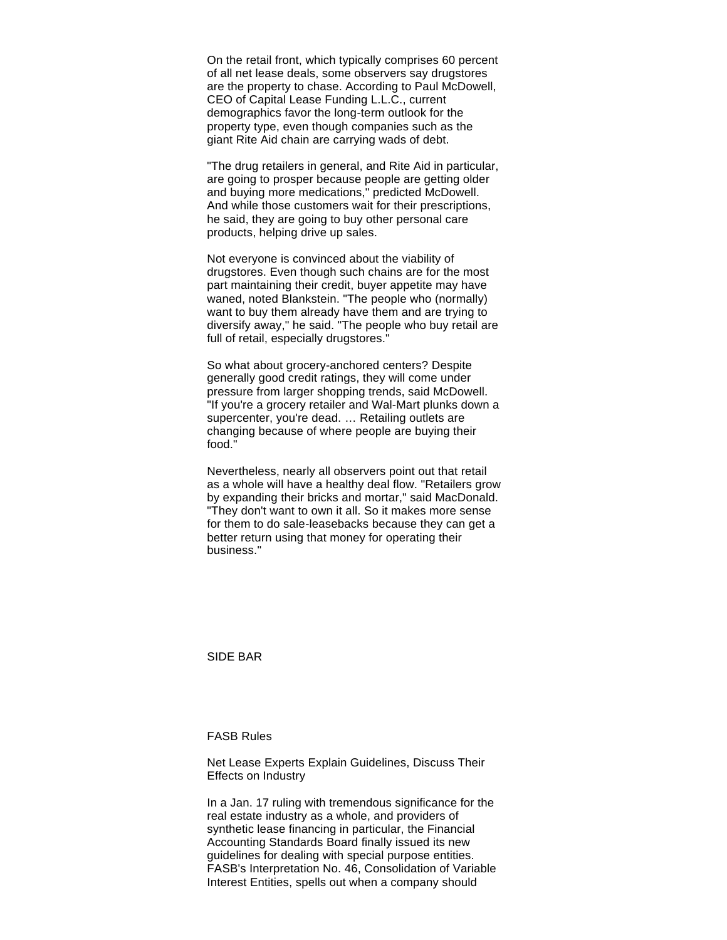On the retail front, which typically comprises 60 percent of all net lease deals, some observers say drugstores are the property to chase. According to Paul McDowell, CEO of Capital Lease Funding L.L.C., current demographics favor the long-term outlook for the property type, even though companies such as the giant Rite Aid chain are carrying wads of debt.

"The drug retailers in general, and Rite Aid in particular, are going to prosper because people are getting older and buying more medications," predicted McDowell. And while those customers wait for their prescriptions, he said, they are going to buy other personal care products, helping drive up sales.

Not everyone is convinced about the viability of drugstores. Even though such chains are for the most part maintaining their credit, buyer appetite may have waned, noted Blankstein. "The people who (normally) want to buy them already have them and are trying to diversify away," he said. "The people who buy retail are full of retail, especially drugstores."

So what about grocery-anchored centers? Despite generally good credit ratings, they will come under pressure from larger shopping trends, said McDowell. "If you're a grocery retailer and Wal-Mart plunks down a supercenter, you're dead. … Retailing outlets are changing because of where people are buying their food."

Nevertheless, nearly all observers point out that retail as a whole will have a healthy deal flow. "Retailers grow by expanding their bricks and mortar," said MacDonald. "They don't want to own it all. So it makes more sense for them to do sale-leasebacks because they can get a better return using that money for operating their business."

SIDE BAR

FASB Rules

Net Lease Experts Explain Guidelines, Discuss Their Effects on Industry

In a Jan. 17 ruling with tremendous significance for the real estate industry as a whole, and providers of synthetic lease financing in particular, the Financial Accounting Standards Board finally issued its new guidelines for dealing with special purpose entities. FASB's Interpretation No. 46, Consolidation of Variable Interest Entities, spells out when a company should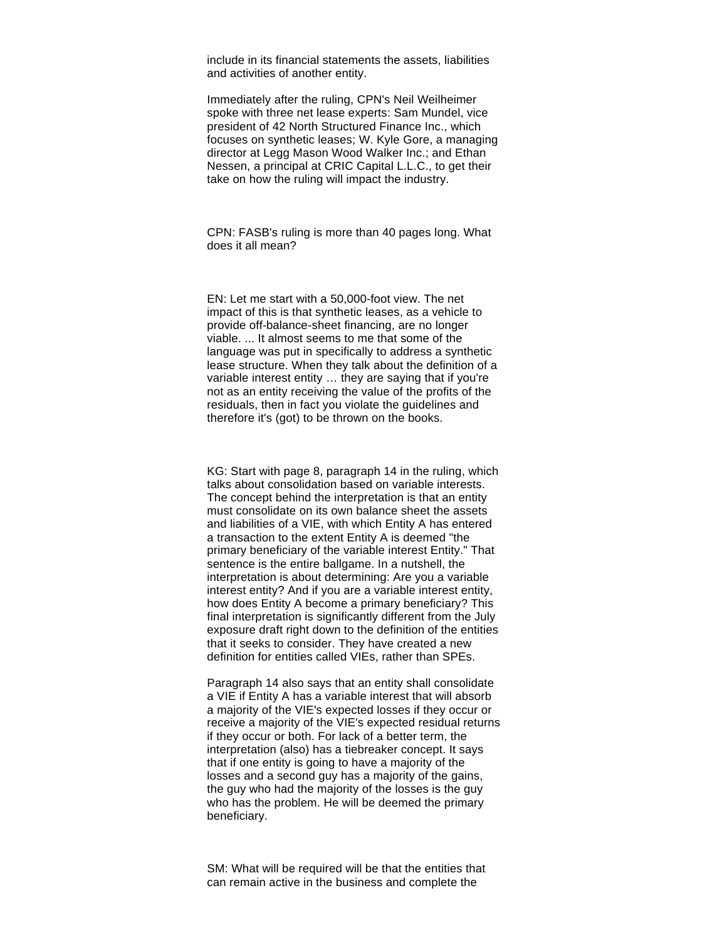include in its financial statements the assets, liabilities and activities of another entity.

Immediately after the ruling, CPN's Neil Weilheimer spoke with three net lease experts: Sam Mundel, vice president of 42 North Structured Finance Inc., which focuses on synthetic leases; W. Kyle Gore, a managing director at Legg Mason Wood Walker Inc.; and Ethan Nessen, a principal at CRIC Capital L.L.C., to get their take on how the ruling will impact the industry.

CPN: FASB's ruling is more than 40 pages long. What does it all mean?

EN: Let me start with a 50,000-foot view. The net impact of this is that synthetic leases, as a vehicle to provide off-balance-sheet financing, are no longer viable. ... It almost seems to me that some of the language was put in specifically to address a synthetic lease structure. When they talk about the definition of a variable interest entity … they are saying that if you're not as an entity receiving the value of the profits of the residuals, then in fact you violate the guidelines and therefore it's (got) to be thrown on the books.

KG: Start with page 8, paragraph 14 in the ruling, which talks about consolidation based on variable interests. The concept behind the interpretation is that an entity must consolidate on its own balance sheet the assets and liabilities of a VIE, with which Entity A has entered a transaction to the extent Entity A is deemed "the primary beneficiary of the variable interest Entity." That sentence is the entire ballgame. In a nutshell, the interpretation is about determining: Are you a variable interest entity? And if you are a variable interest entity, how does Entity A become a primary beneficiary? This final interpretation is significantly different from the July exposure draft right down to the definition of the entities that it seeks to consider. They have created a new definition for entities called VIEs, rather than SPEs.

Paragraph 14 also says that an entity shall consolidate a VIE if Entity A has a variable interest that will absorb a majority of the VIE's expected losses if they occur or receive a majority of the VIE's expected residual returns if they occur or both. For lack of a better term, the interpretation (also) has a tiebreaker concept. It says that if one entity is going to have a majority of the losses and a second guy has a majority of the gains, the guy who had the majority of the losses is the guy who has the problem. He will be deemed the primary beneficiary.

SM: What will be required will be that the entities that can remain active in the business and complete the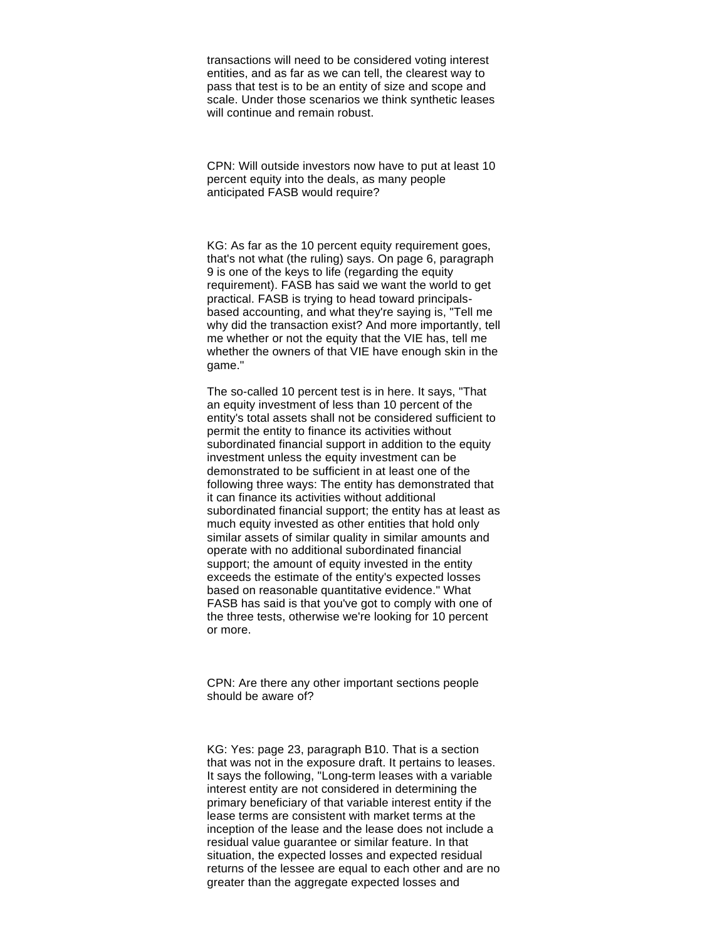transactions will need to be considered voting interest entities, and as far as we can tell, the clearest way to pass that test is to be an entity of size and scope and scale. Under those scenarios we think synthetic leases will continue and remain robust.

CPN: Will outside investors now have to put at least 10 percent equity into the deals, as many people anticipated FASB would require?

KG: As far as the 10 percent equity requirement goes, that's not what (the ruling) says. On page 6, paragraph 9 is one of the keys to life (regarding the equity requirement). FASB has said we want the world to get practical. FASB is trying to head toward principalsbased accounting, and what they're saying is, "Tell me why did the transaction exist? And more importantly, tell me whether or not the equity that the VIE has, tell me whether the owners of that VIE have enough skin in the game."

The so-called 10 percent test is in here. It says, "That an equity investment of less than 10 percent of the entity's total assets shall not be considered sufficient to permit the entity to finance its activities without subordinated financial support in addition to the equity investment unless the equity investment can be demonstrated to be sufficient in at least one of the following three ways: The entity has demonstrated that it can finance its activities without additional subordinated financial support; the entity has at least as much equity invested as other entities that hold only similar assets of similar quality in similar amounts and operate with no additional subordinated financial support; the amount of equity invested in the entity exceeds the estimate of the entity's expected losses based on reasonable quantitative evidence." What FASB has said is that you've got to comply with one of the three tests, otherwise we're looking for 10 percent or more.

CPN: Are there any other important sections people should be aware of?

KG: Yes: page 23, paragraph B10. That is a section that was not in the exposure draft. It pertains to leases. It says the following, "Long-term leases with a variable interest entity are not considered in determining the primary beneficiary of that variable interest entity if the lease terms are consistent with market terms at the inception of the lease and the lease does not include a residual value guarantee or similar feature. In that situation, the expected losses and expected residual returns of the lessee are equal to each other and are no greater than the aggregate expected losses and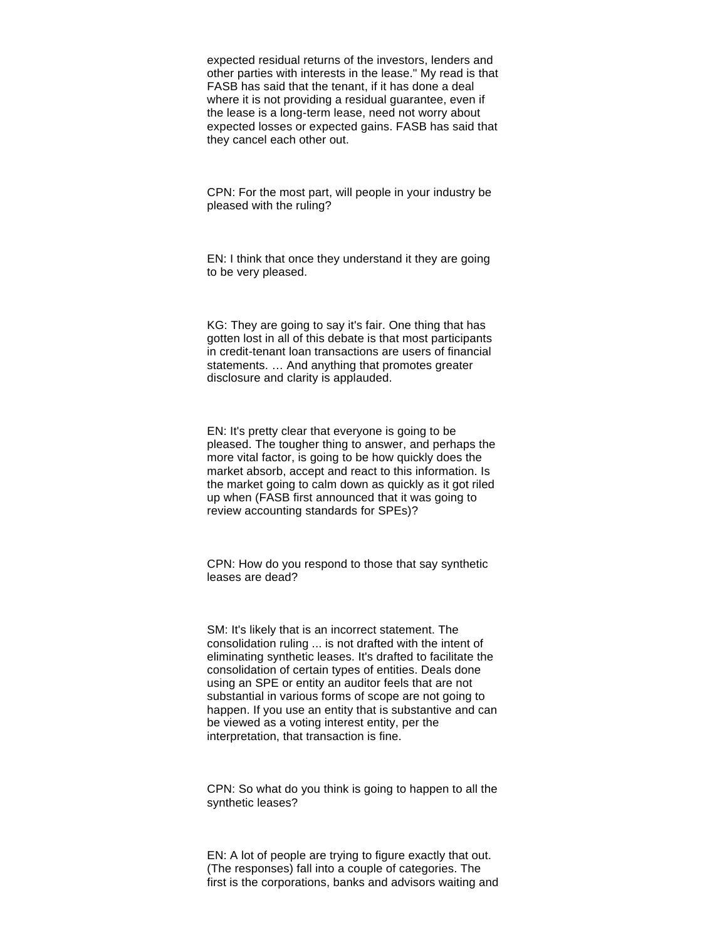expected residual returns of the investors, lenders and other parties with interests in the lease." My read is that FASB has said that the tenant, if it has done a deal where it is not providing a residual guarantee, even if the lease is a long-term lease, need not worry about expected losses or expected gains. FASB has said that they cancel each other out.

CPN: For the most part, will people in your industry be pleased with the ruling?

EN: I think that once they understand it they are going to be very pleased.

KG: They are going to say it's fair. One thing that has gotten lost in all of this debate is that most participants in credit-tenant loan transactions are users of financial statements. … And anything that promotes greater disclosure and clarity is applauded.

EN: It's pretty clear that everyone is going to be pleased. The tougher thing to answer, and perhaps the more vital factor, is going to be how quickly does the market absorb, accept and react to this information. Is the market going to calm down as quickly as it got riled up when (FASB first announced that it was going to review accounting standards for SPEs)?

CPN: How do you respond to those that say synthetic leases are dead?

SM: It's likely that is an incorrect statement. The consolidation ruling ... is not drafted with the intent of eliminating synthetic leases. It's drafted to facilitate the consolidation of certain types of entities. Deals done using an SPE or entity an auditor feels that are not substantial in various forms of scope are not going to happen. If you use an entity that is substantive and can be viewed as a voting interest entity, per the interpretation, that transaction is fine.

CPN: So what do you think is going to happen to all the synthetic leases?

EN: A lot of people are trying to figure exactly that out. (The responses) fall into a couple of categories. The first is the corporations, banks and advisors waiting and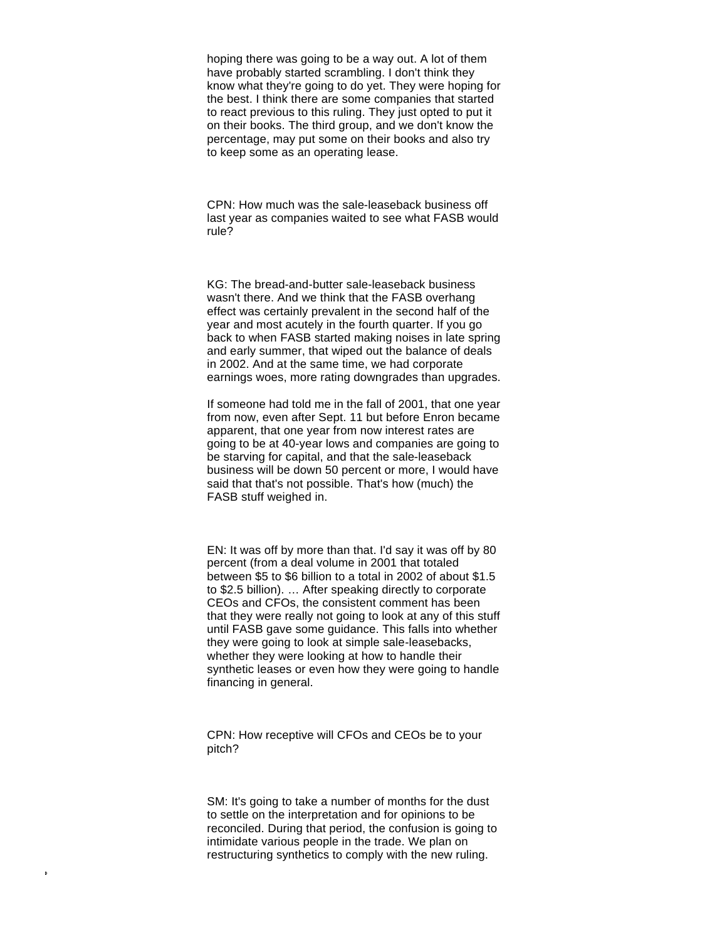hoping there was going to be a way out. A lot of them have probably started scrambling. I don't think they know what they're going to do yet. They were hoping for the best. I think there are some companies that started to react previous to this ruling. They just opted to put it on their books. The third group, and we don't know the percentage, may put some on their books and also try to keep some as an operating lease.

CPN: How much was the sale-leaseback business off last year as companies waited to see what FASB would rule?

KG: The bread-and-butter sale-leaseback business wasn't there. And we think that the FASB overhang effect was certainly prevalent in the second half of the year and most acutely in the fourth quarter. If you go back to when FASB started making noises in late spring and early summer, that wiped out the balance of deals in 2002. And at the same time, we had corporate earnings woes, more rating downgrades than upgrades.

If someone had told me in the fall of 2001, that one year from now, even after Sept. 11 but before Enron became apparent, that one year from now interest rates are going to be at 40-year lows and companies are going to be starving for capital, and that the sale-leaseback business will be down 50 percent or more, I would have said that that's not possible. That's how (much) the FASB stuff weighed in.

EN: It was off by more than that. I'd say it was off by 80 percent (from a deal volume in 2001 that totaled between \$5 to \$6 billion to a total in 2002 of about \$1.5 to \$2.5 billion). … After speaking directly to corporate CEOs and CFOs, the consistent comment has been that they were really not going to look at any of this stuff until FASB gave some guidance. This falls into whether they were going to look at simple sale-leasebacks, whether they were looking at how to handle their synthetic leases or even how they were going to handle financing in general.

CPN: How receptive will CFOs and CEOs be to your pitch?

SM: It's going to take a number of months for the dust to settle on the interpretation and for opinions to be reconciled. During that period, the confusion is going to intimidate various people in the trade. We plan on restructuring synthetics to comply with the new ruling.

 $\mathbf{r}$